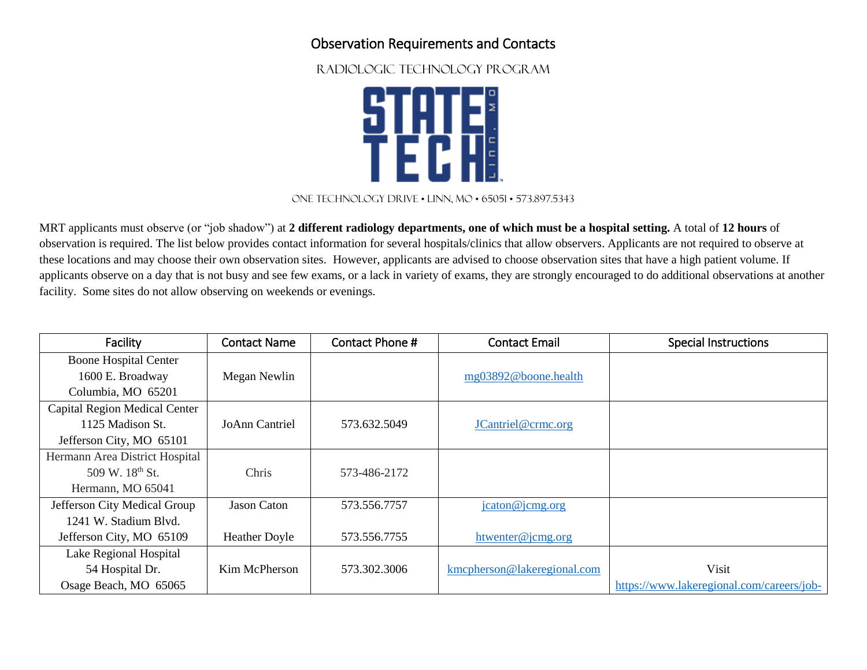## Observation Requirements and Contacts

RADIOLOGIC TECHNOLOGY PROGRAM



## One technology drive • Linn, MO • 65051 • 573.897.5343

MRT applicants must observe (or "job shadow") at **2 different radiology departments, one of which must be a hospital setting.** A total of **12 hours** of observation is required. The list below provides contact information for several hospitals/clinics that allow observers. Applicants are not required to observe at these locations and may choose their own observation sites. However, applicants are advised to choose observation sites that have a high patient volume. If applicants observe on a day that is not busy and see few exams, or a lack in variety of exams, they are strongly encouraged to do additional observations at another facility. Some sites do not allow observing on weekends or evenings.

| Facility                       | <b>Contact Name</b>   | Contact Phone # | <b>Contact Email</b>        | <b>Special Instructions</b>               |
|--------------------------------|-----------------------|-----------------|-----------------------------|-------------------------------------------|
| <b>Boone Hospital Center</b>   |                       |                 |                             |                                           |
| 1600 E. Broadway               | Megan Newlin          |                 | mg03892@boone.health        |                                           |
| Columbia, MO 65201             |                       |                 |                             |                                           |
| Capital Region Medical Center  |                       |                 |                             |                                           |
| 1125 Madison St.               | <b>JoAnn Cantriel</b> | 573.632.5049    | JCantriel@crmc.org          |                                           |
| Jefferson City, MO 65101       |                       |                 |                             |                                           |
| Hermann Area District Hospital |                       |                 |                             |                                           |
| 509 W. 18th St.                | Chris                 | 573-486-2172    |                             |                                           |
| Hermann, MO 65041              |                       |                 |                             |                                           |
| Jefferson City Medical Group   | <b>Jason Caton</b>    | 573.556.7757    | jcaton@jcmg.org             |                                           |
| 1241 W. Stadium Blvd.          |                       |                 |                             |                                           |
| Jefferson City, MO 65109       | <b>Heather Doyle</b>  | 573.556.7755    | htwenter@jcmg.org           |                                           |
| Lake Regional Hospital         |                       |                 |                             |                                           |
| 54 Hospital Dr.                | Kim McPherson         | 573.302.3006    | kmcpherson@lakeregional.com | Visit                                     |
| Osage Beach, MO 65065          |                       |                 |                             | https://www.lakeregional.com/careers/job- |